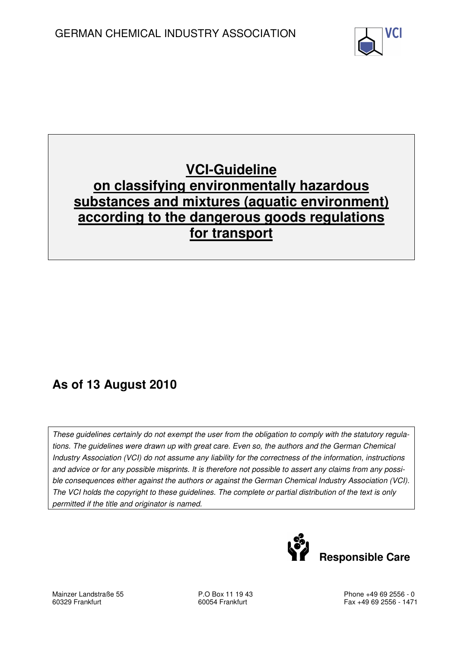

# **VCI-Guideline on classifying environmentally hazardous substances and mixtures (aquatic environment) according to the dangerous goods regulations for transport**

# **As of 13 August 2010**

These guidelines certainly do not exempt the user from the obligation to comply with the statutory regulations. The guidelines were drawn up with great care. Even so, the authors and the German Chemical Industry Association (VCI) do not assume any liability for the correctness of the information, instructions and advice or for any possible misprints. It is therefore not possible to assert any claims from any possible consequences either against the authors or against the German Chemical Industry Association (VCI). The VCI holds the copyright to these guidelines. The complete or partial distribution of the text is only permitted if the title and originator is named.



Mainzer Landstraße 55 60329 Frankfurt

P.O Box 11 19 43 60054 Frankfurt

Phone +49 69 2556 - 0 Fax +49 69 2556 - 1471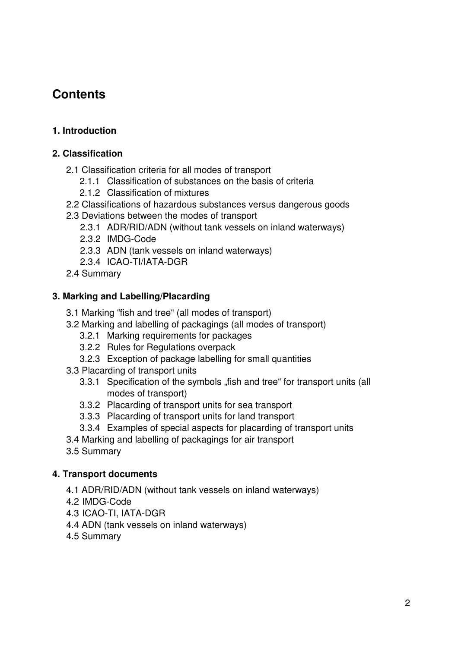# **Contents**

#### **1. Introduction**

#### **2. Classification**

- 2.1 Classification criteria for all modes of transport
	- 2.1.1 Classification of substances on the basis of criteria
	- 2.1.2 Classification of mixtures
- 2.2 Classifications of hazardous substances versus dangerous goods
- 2.3 Deviations between the modes of transport
	- 2.3.1 ADR/RID/ADN (without tank vessels on inland waterways)
	- 2.3.2 IMDG-Code
	- 2.3.3 ADN (tank vessels on inland waterways)
	- 2.3.4 ICAO-TI/IATA-DGR
- 2.4 Summary

#### **3. Marking and Labelling/Placarding**

- 3.1 Marking "fish and tree" (all modes of transport)
- 3.2 Marking and labelling of packagings (all modes of transport)
	- 3.2.1 Marking requirements for packages
	- 3.2.2 Rules for Regulations overpack
	- 3.2.3 Exception of package labelling for small quantities
- 3.3 Placarding of transport units
	- 3.3.1 Specification of the symbols "fish and tree" for transport units (all modes of transport)
	- 3.3.2 Placarding of transport units for sea transport
	- 3.3.3 Placarding of transport units for land transport
	- 3.3.4 Examples of special aspects for placarding of transport units
- 3.4 Marking and labelling of packagings for air transport
- 3.5 Summary

#### **4. Transport documents**

- 4.1 ADR/RID/ADN (without tank vessels on inland waterways)
- 4.2 IMDG-Code
- 4.3 ICAO-TI, IATA-DGR
- 4.4 ADN (tank vessels on inland waterways)
- 4.5 Summary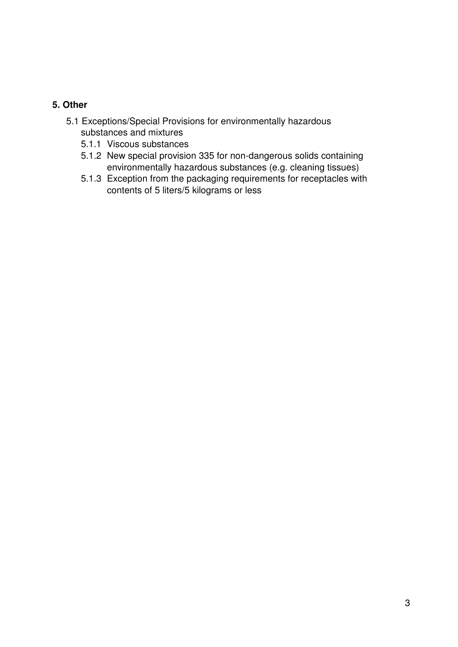#### **5. Other**

- 5.1 Exceptions/Special Provisions for environmentally hazardous substances and mixtures
	- 5.1.1 Viscous substances
	- 5.1.2 New special provision 335 for non-dangerous solids containing environmentally hazardous substances (e.g. cleaning tissues)
	- 5.1.3 Exception from the packaging requirements for receptacles with contents of 5 liters/5 kilograms or less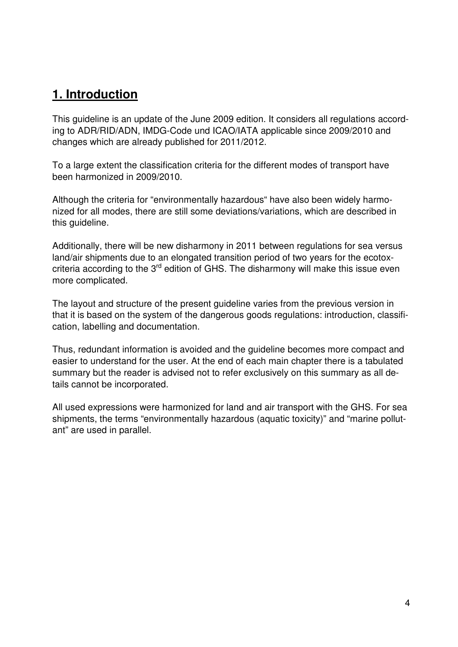# **1. Introduction**

This guideline is an update of the June 2009 edition. It considers all regulations according to ADR/RID/ADN, IMDG-Code und ICAO/IATA applicable since 2009/2010 and changes which are already published for 2011/2012.

To a large extent the classification criteria for the different modes of transport have been harmonized in 2009/2010.

Although the criteria for "environmentally hazardous" have also been widely harmonized for all modes, there are still some deviations/variations, which are described in this quideline.

Additionally, there will be new disharmony in 2011 between regulations for sea versus land/air shipments due to an elongated transition period of two years for the ecotoxcriteria according to the 3<sup>rd</sup> edition of GHS. The disharmony will make this issue even more complicated.

The layout and structure of the present guideline varies from the previous version in that it is based on the system of the dangerous goods regulations: introduction, classification, labelling and documentation.

Thus, redundant information is avoided and the guideline becomes more compact and easier to understand for the user. At the end of each main chapter there is a tabulated summary but the reader is advised not to refer exclusively on this summary as all details cannot be incorporated.

All used expressions were harmonized for land and air transport with the GHS. For sea shipments, the terms "environmentally hazardous (aquatic toxicity)" and "marine pollutant" are used in parallel.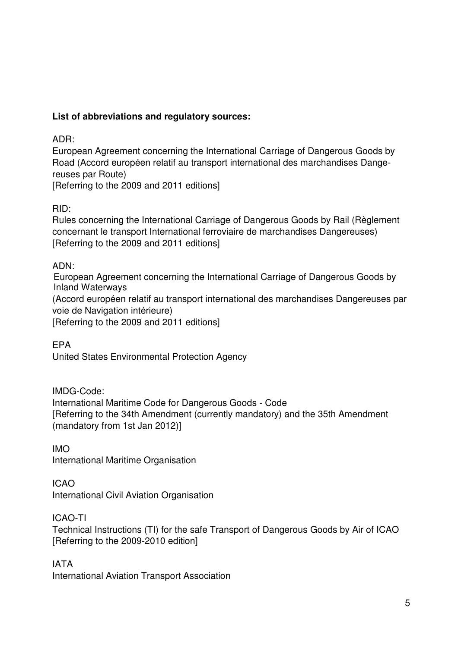#### **List of abbreviations and regulatory sources:**

ADR:

European Agreement concerning the International Carriage of Dangerous Goods by Road (Accord européen relatif au transport international des marchandises Dangereuses par Route) [Referring to the 2009 and 2011 editions]

RID:

Rules concerning the International Carriage of Dangerous Goods by Rail (Règlement concernant le transport International ferroviaire de marchandises Dangereuses) [Referring to the 2009 and 2011 editions]

ADN:

European Agreement concerning the International Carriage of Dangerous Goods by Inland Waterways

(Accord européen relatif au transport international des marchandises Dangereuses par voie de Navigation intérieure)

[Referring to the 2009 and 2011 editions]

EPA United States Environmental Protection Agency

IMDG-Code: International Maritime Code for Dangerous Goods - Code [Referring to the 34th Amendment (currently mandatory) and the 35th Amendment (mandatory from 1st Jan 2012)]

IMO International Maritime Organisation

ICAO

International Civil Aviation Organisation

ICAO-TI

Technical Instructions (TI) for the safe Transport of Dangerous Goods by Air of ICAO [Referring to the 2009-2010 edition]

IATA

International Aviation Transport Association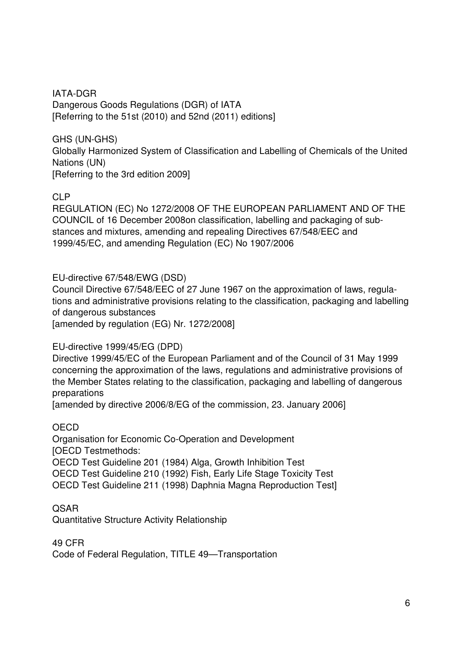IATA-DGR Dangerous Goods Regulations (DGR) of IATA [Referring to the 51st (2010) and 52nd (2011) editions]

GHS (UN-GHS)

Globally Harmonized System of Classification and Labelling of Chemicals of the United Nations (UN) [Referring to the 3rd edition 2009]

CLP

REGULATION (EC) No 1272/2008 OF THE EUROPEAN PARLIAMENT AND OF THE COUNCIL of 16 December 2008on classification, labelling and packaging of substances and mixtures, amending and repealing Directives 67/548/EEC and 1999/45/EC, and amending Regulation (EC) No 1907/2006

EU-directive 67/548/EWG (DSD)

Council Directive 67/548/EEC of 27 June 1967 on the approximation of laws, regulations and administrative provisions relating to the classification, packaging and labelling of dangerous substances

[amended by regulation (EG) Nr. 1272/2008]

EU-directive 1999/45/EG (DPD)

Directive 1999/45/EC of the European Parliament and of the Council of 31 May 1999 concerning the approximation of the laws, regulations and administrative provisions of the Member States relating to the classification, packaging and labelling of dangerous preparations

[amended by directive 2006/8/EG of the commission, 23. January 2006]

**OECD** Organisation for Economic Co-Operation and Development [OECD Testmethods: OECD Test Guideline 201 (1984) Alga, Growth Inhibition Test OECD Test Guideline 210 (1992) Fish, Early Life Stage Toxicity Test OECD Test Guideline 211 (1998) Daphnia Magna Reproduction Test]

QSAR Quantitative Structure Activity Relationship

49 CFR Code of Federal Regulation, TITLE 49—Transportation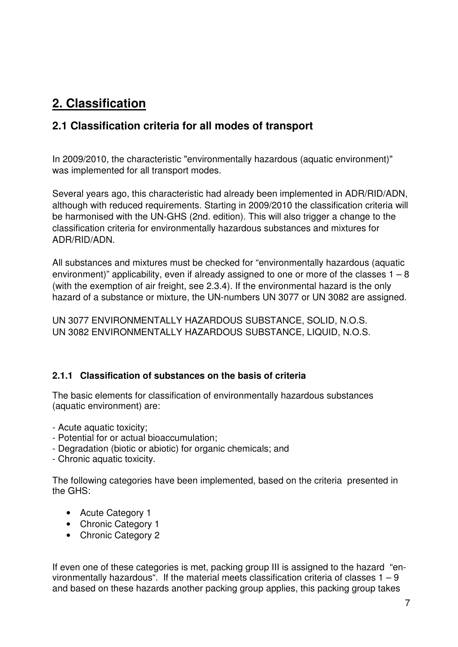# **2. Classification**

## **2.1 Classification criteria for all modes of transport**

In 2009/2010, the characteristic "environmentally hazardous (aquatic environment)" was implemented for all transport modes.

Several years ago, this characteristic had already been implemented in ADR/RID/ADN, although with reduced requirements. Starting in 2009/2010 the classification criteria will be harmonised with the UN-GHS (2nd. edition). This will also trigger a change to the classification criteria for environmentally hazardous substances and mixtures for ADR/RID/ADN.

All substances and mixtures must be checked for "environmentally hazardous (aquatic environment)" applicability, even if already assigned to one or more of the classes  $1 - 8$ (with the exemption of air freight, see 2.3.4). If the environmental hazard is the only hazard of a substance or mixture, the UN-numbers UN 3077 or UN 3082 are assigned.

UN 3077 ENVIRONMENTALLY HAZARDOUS SUBSTANCE, SOLID, N.O.S. UN 3082 ENVIRONMENTALLY HAZARDOUS SUBSTANCE, LIQUID, N.O.S.

#### **2.1.1 Classification of substances on the basis of criteria**

The basic elements for classification of environmentally hazardous substances (aquatic environment) are:

- Acute aquatic toxicity;
- Potential for or actual bioaccumulation;
- Degradation (biotic or abiotic) for organic chemicals; and
- Chronic aquatic toxicity.

The following categories have been implemented, based on the criteria presented in the GHS:

- Acute Category 1
- Chronic Category 1
- Chronic Category 2

If even one of these categories is met, packing group III is assigned to the hazard "environmentally hazardous". If the material meets classification criteria of classes  $1 - 9$ and based on these hazards another packing group applies, this packing group takes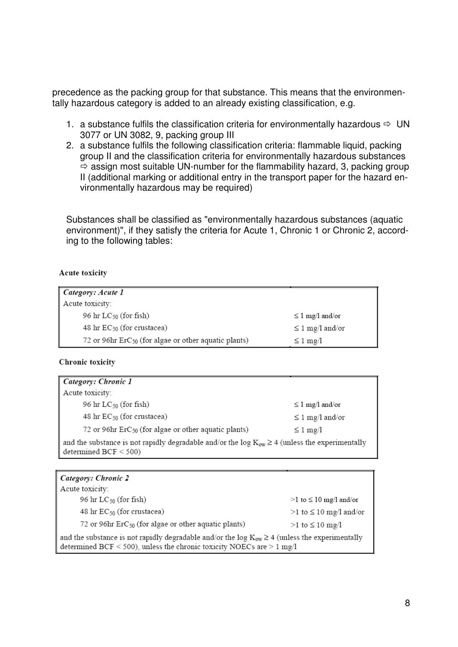precedence as the packing group for that substance. This means that the environmentally hazardous category is added to an already existing classification, e.g.

- 1. a substance fulfils the classification criteria for environmentally hazardous  $\Rightarrow$  UN 3077 or UN 3082, 9, packing group III
- 2. a substance fulfils the following classification criteria: flammable liquid, packing group II and the classification criteria for environmentally hazardous substances  $\Rightarrow$  assign most suitable UN-number for the flammability hazard, 3, packing group II (additional marking or additional entry in the transport paper for the hazard environmentally hazardous may be required)

Substances shall be classified as "environmentally hazardous substances (aquatic environment)", if they satisfy the criteria for Acute 1, Chronic 1 or Chronic 2, according to the following tables:

#### Acute toxicity

| Category: Acute 1                                                |                       |
|------------------------------------------------------------------|-----------------------|
| Acute toxicity:                                                  |                       |
| 96 hr $LC_{50}$ (for fish)                                       | $\leq 1$ mg/l and/or  |
| 48 hr $EC_{50}$ (for crustacea)                                  | ≤ 1 mg/l and/or       |
| 72 or 96hr ErC <sub>50</sub> (for algae or other aquatic plants) | $\leq 1 \text{ mg/l}$ |

#### Chronic toxicity

| Category: Chronic 1                                                                                                              |                       |
|----------------------------------------------------------------------------------------------------------------------------------|-----------------------|
| Acute toxicity:                                                                                                                  |                       |
| 96 hr $LC_{50}$ (for fish)                                                                                                       | ≤ 1 mg/l and/or       |
| 48 hr $EC_{50}$ (for crustacea)                                                                                                  | ≤ 1 mg/l and/or       |
| 72 or 96hr $\text{ErC}_{50}$ (for algae or other aquatic plants)                                                                 | $\leq 1 \text{ mg/l}$ |
| and the substance is not rapidly degradable and/or the log $K_{ow} \ge 4$ (unless the experimentally<br>determined $BCF < 500$ ) |                       |

| <b>Category: Chronic 2</b> |  |
|----------------------------|--|
|                            |  |

| Acute toxicity:                                                                                      |                        |
|------------------------------------------------------------------------------------------------------|------------------------|
| 96 hr $LC_{50}$ (for fish)                                                                           | >1 to ≤ 10 mg/l and/or |
| 48 hr $EC_{50}$ (for crustacea)                                                                      | >1 to ≤ 10 mg/l and/or |
| 72 or 96hr $\text{ErC}_{50}$ (for algae or other aquatic plants)                                     | >1 to ≤ 10 mg/l        |
| and the substance is not rapidly degradable and/or the log $K_{ow} \ge 4$ (unless the experimentally |                        |
| determined BCF < 500), unless the chronic toxicity NOECs are $> 1$ mg/l                              |                        |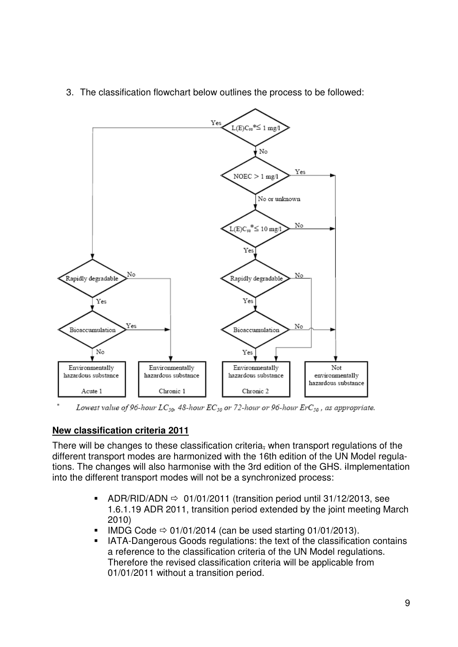

3. The classification flowchart below outlines the process to be followed:

Lowest value of 96-hour LC<sub>50</sub>, 48-hour EC<sub>50</sub> or 72-hour or 96-hour ErC<sub>50</sub>, as appropriate.

#### **New classification criteria 2011**

There will be changes to these classification criteria, when transport regulations of the different transport modes are harmonized with the 16th edition of the UN Model regulations. The changes will also harmonise with the 3rd edition of the GHS. iImplementation into the different transport modes will not be a synchronized process:

- -ADR/RID/ADN  $\Rightarrow$  01/01/2011 (transition period until 31/12/2013, see 1.6.1.19 ADR 2011, transition period extended by the joint meeting March 2010)
- -IMDG Code  $\Rightarrow$  01/01/2014 (can be used starting 01/01/2013).
- - IATA-Dangerous Goods regulations: the text of the classification contains a reference to the classification criteria of the UN Model regulations. Therefore the revised classification criteria will be applicable from 01/01/2011 without a transition period.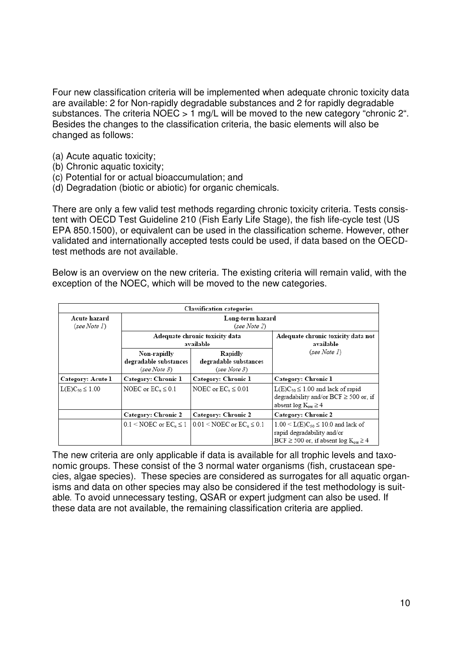Four new classification criteria will be implemented when adequate chronic toxicity data are available: 2 for Non-rapidly degradable substances and 2 for rapidly degradable substances. The criteria NOEC  $> 1$  mg/L will be moved to the new category "chronic 2". Besides the changes to the classification criteria, the basic elements will also be changed as follows:

- (a) Acute aquatic toxicity;
- (b) Chronic aquatic toxicity;
- (c) Potential for or actual bioaccumulation; and
- (d) Degradation (biotic or abiotic) for organic chemicals.

There are only a few valid test methods regarding chronic toxicity criteria. Tests consistent with OECD Test Guideline 210 (Fish Early Life Stage), the fish life-cycle test (US EPA 850.1500), or equivalent can be used in the classification scheme. However, other validated and internationally accepted tests could be used, if data based on the OECDtest methods are not available.

Below is an overview on the new criteria. The existing criteria will remain valid, with the exception of the NOEC, which will be moved to the new categories.

|                                             |                                                      | <b>Classification categories</b>                 |                                                                                                                                   |  |  |  |
|---------------------------------------------|------------------------------------------------------|--------------------------------------------------|-----------------------------------------------------------------------------------------------------------------------------------|--|--|--|
| Acute hazard<br>(see Note I)                |                                                      | Long-term hazard<br>(see Note 2)                 |                                                                                                                                   |  |  |  |
| Adequate chronic toxicity data<br>available |                                                      |                                                  | Adequate chronic toxicity data not<br>available                                                                                   |  |  |  |
|                                             | Non-rapidly<br>degradable substances<br>(see Note 3) | Rapidly<br>degradable substances<br>(see Note 3) | (see Note I)                                                                                                                      |  |  |  |
| Category: Acute 1                           | Category: Chronic 1                                  | Category: Chronic 1                              | Category: Chronic 1                                                                                                               |  |  |  |
| $L(E)C_{50} \le 1.00$                       | NOEC or $EC_r \leq 0.1$                              | NOEC or $EC_r \leq 0.01$                         | $L(E)C_{50} \leq 1.00$ and lack of rapid<br>degradability and/or $BCF \ge 500$ or, if<br>absent $log K_{ow} \ge 4$                |  |  |  |
|                                             | Category: Chronic 2                                  | Category: Chronic 2                              | Category: Chronic 2                                                                                                               |  |  |  |
|                                             | $0.1 <$ NOEC or EC <sub>x</sub> $\leq 1$             | $0.01 \leq \text{NOEC}$ or $EC_z \leq 0.1$       | $1.00 \le L(E)C_{50} \le 10.0$ and lack of<br>rapid degradability and/or<br>$BCF \ge 500$ or, if absent $log K_{\text{ow}} \ge 4$ |  |  |  |

The new criteria are only applicable if data is available for all trophic levels and taxonomic groups. These consist of the 3 normal water organisms (fish, crustacean species, algae species). These species are considered as surrogates for all aquatic organisms and data on other species may also be considered if the test methodology is suitable*.* To avoid unnecessary testing, QSAR or expert judgment can also be used. If these data are not available, the remaining classification criteria are applied.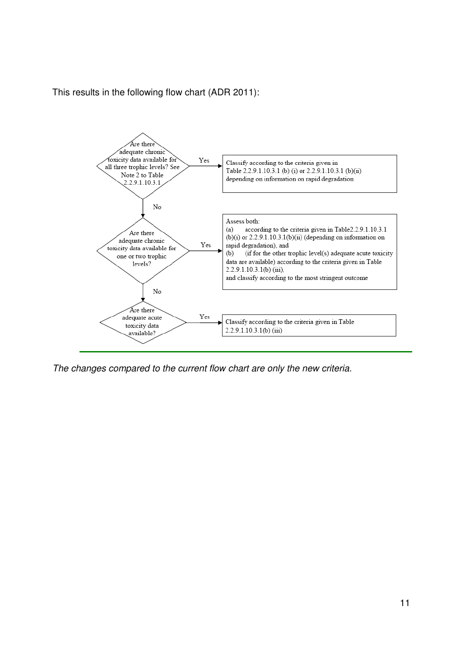

This results in the following flow chart (ADR 2011):

The changes compared to the current flow chart are only the new criteria.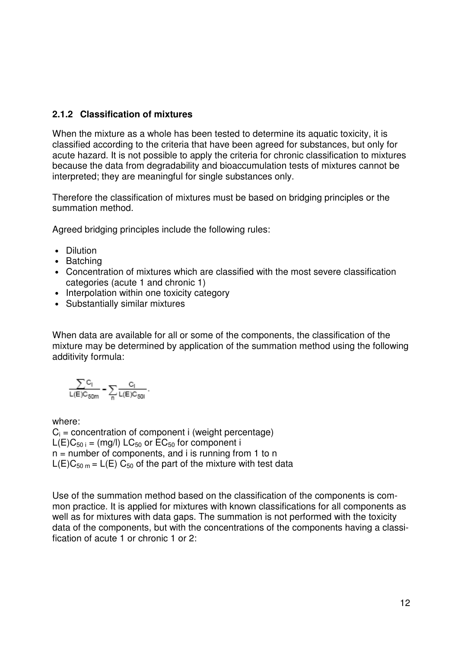#### **2.1.2 Classification of mixtures**

When the mixture as a whole has been tested to determine its aquatic toxicity, it is classified according to the criteria that have been agreed for substances, but only for acute hazard. It is not possible to apply the criteria for chronic classification to mixtures because the data from degradability and bioaccumulation tests of mixtures cannot be interpreted; they are meaningful for single substances only.

Therefore the classification of mixtures must be based on bridging principles or the summation method.

Agreed bridging principles include the following rules:

- Dilution
- Batching
- Concentration of mixtures which are classified with the most severe classification categories (acute 1 and chronic 1)
- Interpolation within one toxicity category
- Substantially similar mixtures

When data are available for all or some of the components, the classification of the mixture may be determined by application of the summation method using the following additivity formula:

$$
\frac{\sum C_l}{L(E)C_{50m}} = \sum_n \frac{C_l}{L(E)C_{50l}}.
$$

where:  $C_i$  = concentration of component i (weight percentage)  $L(E)C_{50 i} = (mq/l) LC_{50}$  or  $EC_{50}$  for component i  $n =$  number of components, and i is running from 1 to n  $L(E)C_{50 m} = L(E) C_{50}$  of the part of the mixture with test data

Use of the summation method based on the classification of the components is common practice. It is applied for mixtures with known classifications for all components as well as for mixtures with data gaps. The summation is not performed with the toxicity data of the components, but with the concentrations of the components having a classification of acute 1 or chronic 1 or 2: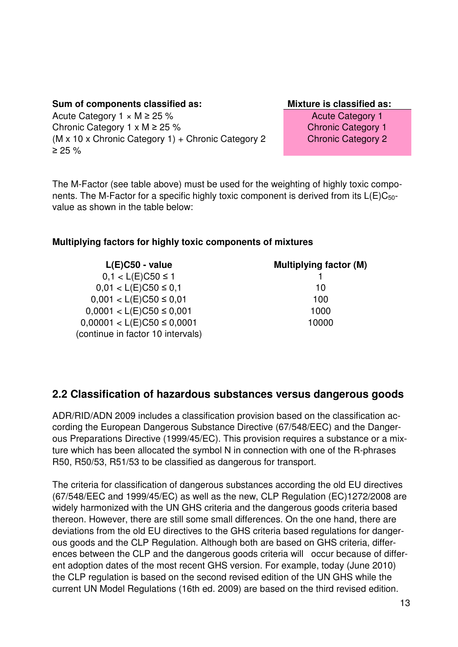#### Sum of components classified as: **Mixture is classified as: Mixture is classified as:**

Acute Category  $1 \times M \ge 25 \%$  Acute Category 1 Chronic Category 1 x M ≥ 25 % (M x 10 x Chronic Category 1) + Chronic Category 2 ≥ 25 %

Chronic Category 2

The M-Factor (see table above) must be used for the weighting of highly toxic components. The M-Factor for a specific highly toxic component is derived from its  $L(E)C_{50}$ value as shown in the table below:

#### **Multiplying factors for highly toxic components of mixtures**

| $L(E)$ C50 - value                                                  | <b>Multiplying factor (M)</b> |
|---------------------------------------------------------------------|-------------------------------|
| $0,1 < L(E)C50 \le 1$                                               |                               |
| $0,01 < L(E)C50 \le 0,1$                                            | 10                            |
| $0,001 < L(E)C50 \le 0,01$                                          | 100                           |
| $0,0001 < L(E)C50 \le 0,001$                                        | 1000                          |
| $0,00001 < L(E)C50 \le 0,0001$<br>(continue in factor 10 intervals) | 10000                         |

#### **2.2 Classification of hazardous substances versus dangerous goods**

ADR/RID/ADN 2009 includes a classification provision based on the classification according the European Dangerous Substance Directive (67/548/EEC) and the Dangerous Preparations Directive (1999/45/EC). This provision requires a substance or a mixture which has been allocated the symbol N in connection with one of the R-phrases R50, R50/53, R51/53 to be classified as dangerous for transport.

The criteria for classification of dangerous substances according the old EU directives (67/548/EEC and 1999/45/EC) as well as the new, CLP Regulation (EC)1272/2008 are widely harmonized with the UN GHS criteria and the dangerous goods criteria based thereon. However, there are still some small differences. On the one hand, there are deviations from the old EU directives to the GHS criteria based regulations for dangerous goods and the CLP Regulation. Although both are based on GHS criteria, differences between the CLP and the dangerous goods criteria will occur because of different adoption dates of the most recent GHS version. For example, today (June 2010) the CLP regulation is based on the second revised edition of the UN GHS while the current UN Model Regulations (16th ed. 2009) are based on the third revised edition.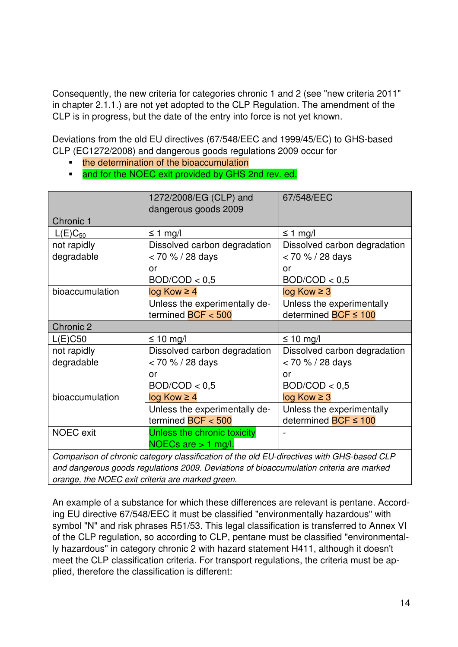Consequently, the new criteria for categories chronic 1 and 2 (see "new criteria 2011" in chapter 2.1.1.) are not yet adopted to the CLP Regulation. The amendment of the CLP is in progress, but the date of the entry into force is not yet known.

Deviations from the old EU directives (67/548/EEC and 1999/45/EC) to GHS-based CLP (EC1272/2008) and dangerous goods regulations 2009 occur for

- the determination of the bioaccumulation
- and for the NOEC exit provided by GHS 2nd rev. ed.

|                  | 1272/2008/EG (CLP) and<br>dangerous goods 2009 | 67/548/EEC                           |
|------------------|------------------------------------------------|--------------------------------------|
| Chronic 1        |                                                |                                      |
| $L(E)C_{50}$     | $\leq$ 1 mg/l                                  | $\leq$ 1 mg/l                        |
| not rapidly      | Dissolved carbon degradation                   | Dissolved carbon degradation         |
| degradable       | $< 70 \% / 28$ days                            | < 70 % / 28 days                     |
|                  | or                                             | or                                   |
|                  | BOD/ COD < 0.5                                 | BOD/ COD < 0.5                       |
| bioaccumulation  | $log Kow \ge 4$                                | $log Kow \geq 3$                     |
|                  | Unless the experimentally de-                  | Unless the experimentally            |
|                  | termined $BCF < 500$                           | determined <b>BCF ≤ 100</b>          |
| Chronic 2        |                                                |                                      |
| $L(E)$ C50       | ≤ 10 mg/l                                      | ≤ 10 mg/l                            |
| not rapidly      | Dissolved carbon degradation                   | Dissolved carbon degradation         |
| degradable       | < 70 % / 28 days                               | < 70 % / 28 days                     |
|                  | or                                             | or                                   |
|                  | BOD/ COD < 0.5                                 | BOD/ COD < 0.5                       |
| bioaccumulation  | $log Kow \ge 4$                                | $log Kow \geq 3$                     |
|                  | Unless the experimentally de-                  | Unless the experimentally            |
|                  | termined $BCF < 500$                           | determined $\overline{BCF} \leq 100$ |
| <b>NOEC</b> exit | Unless the chronic toxicity                    |                                      |
|                  | NOECs are $> 1$ mg/l.                          |                                      |
|                  |                                                |                                      |

Comparison of chronic category classification of the old EU-directives with GHS-based CLP and dangerous goods regulations 2009. Deviations of bioaccumulation criteria are marked orange, the NOEC exit criteria are marked green.

An example of a substance for which these differences are relevant is pentane. According EU directive 67/548/EEC it must be classified "environmentally hazardous" with symbol "N" and risk phrases R51/53. This legal classification is transferred to Annex VI of the CLP regulation, so according to CLP, pentane must be classified "environmentally hazardous" in category chronic 2 with hazard statement H411, although it doesn't meet the CLP classification criteria. For transport regulations, the criteria must be applied, therefore the classification is different: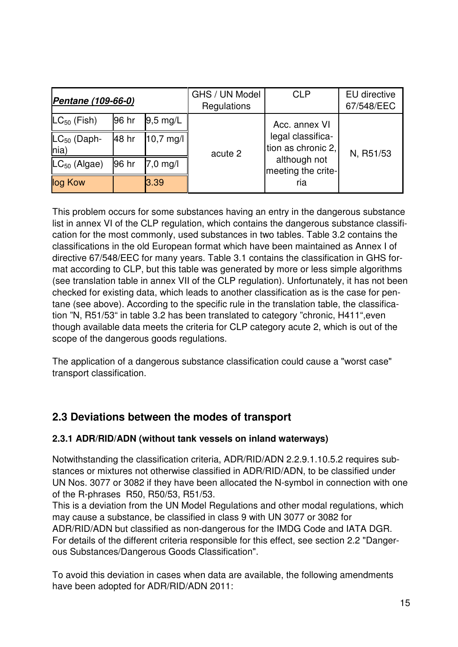| Pentane (109-66-0)        |       | GHS / UN Model<br>Regulations | <b>CLP</b> | EU directive<br>67/548/EEC              |           |
|---------------------------|-------|-------------------------------|------------|-----------------------------------------|-----------|
| $LC_{50}$ (Fish)          | 96 hr | $9,5 \text{ mg/L}$            |            | Acc. annex VI                           |           |
| $LC_{50}$ (Daph-<br>lnia) | 48 hr | $10,7 \text{ mg/l}$           | acute 2    | legal classifica-<br>tion as chronic 2, | N, R51/53 |
| $LC_{50}$ (Algae)         | 96 hr | $7,0$ mg/l                    |            | although not<br>meeting the crite-      |           |
| log Kow                   |       | 3.39                          |            | ria                                     |           |

This problem occurs for some substances having an entry in the dangerous substance list in annex VI of the CLP regulation, which contains the dangerous substance classification for the most commonly, used substances in two tables. Table 3.2 contains the classifications in the old European format which have been maintained as Annex I of directive 67/548/EEC for many years. Table 3.1 contains the classification in GHS format according to CLP, but this table was generated by more or less simple algorithms (see translation table in annex VII of the CLP regulation). Unfortunately, it has not been checked for existing data, which leads to another classification as is the case for pentane (see above). According to the specific rule in the translation table, the classification "N, R51/53" in table 3.2 has been translated to category "chronic, H411",even though available data meets the criteria for CLP category acute 2, which is out of the scope of the dangerous goods regulations.

The application of a dangerous substance classification could cause a "worst case" transport classification.

## **2.3 Deviations between the modes of transport**

#### **2.3.1 ADR/RID/ADN (without tank vessels on inland waterways)**

Notwithstanding the classification criteria, ADR/RID/ADN 2.2.9.1.10.5.2 requires substances or mixtures not otherwise classified in ADR/RID/ADN, to be classified under UN Nos. 3077 or 3082 if they have been allocated the N-symbol in connection with one of the R-phrases R50, R50/53, R51/53.

This is a deviation from the UN Model Regulations and other modal regulations, which may cause a substance, be classified in class 9 with UN 3077 or 3082 for ADR/RID/ADN but classified as non-dangerous for the IMDG Code and IATA DGR. For details of the different criteria responsible for this effect, see section 2.2 "Dangerous Substances/Dangerous Goods Classification".

To avoid this deviation in cases when data are available, the following amendments have been adopted for ADR/RID/ADN 2011: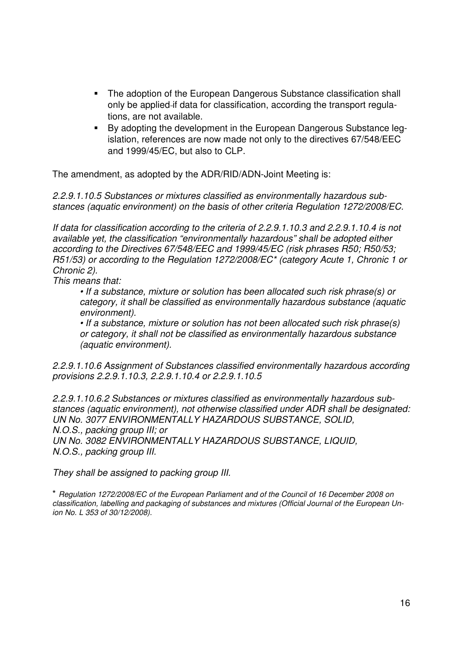- - The adoption of the European Dangerous Substance classification shall only be applied if data for classification, according the transport regulations, are not available.
- - By adopting the development in the European Dangerous Substance legislation, references are now made not only to the directives 67/548/EEC and 1999/45/EC, but also to CLP.

The amendment, as adopted by the ADR/RID/ADN-Joint Meeting is:

2.2.9.1.10.5 Substances or mixtures classified as environmentally hazardous substances (aquatic environment) on the basis of other criteria Regulation 1272/2008/EC.

If data for classification according to the criteria of 2.2.9.1.10.3 and 2.2.9.1.10.4 is not available yet, the classification "environmentally hazardous" shall be adopted either according to the Directives 67/548/EEC and 1999/45/EC (risk phrases R50; R50/53; R51/53) or according to the Regulation 1272/2008/EC\* (category Acute 1, Chronic 1 or Chronic 2).

This means that:

• If a substance, mixture or solution has been allocated such risk phrase(s) or category, it shall be classified as environmentally hazardous substance (aquatic environment).

• If a substance, mixture or solution has not been allocated such risk phrase(s) or category, it shall not be classified as environmentally hazardous substance (aquatic environment).

2.2.9.1.10.6 Assignment of Substances classified environmentally hazardous according provisions 2.2.9.1.10.3, 2.2.9.1.10.4 or 2.2.9.1.10.5

2.2.9.1.10.6.2 Substances or mixtures classified as environmentally hazardous substances (aquatic environment), not otherwise classified under ADR shall be designated: UN No. 3077 ENVIRONMENTALLY HAZARDOUS SUBSTANCE, SOLID, N.O.S., packing group III; or UN No. 3082 ENVIRONMENTALLY HAZARDOUS SUBSTANCE, LIQUID, N.O.S., packing group III.

They shall be assigned to packing group III.

\* Regulation 1272/2008/EC of the European Parliament and of the Council of 16 December 2008 on classification, labelling and packaging of substances and mixtures (Official Journal of the European Union No. L 353 of 30/12/2008).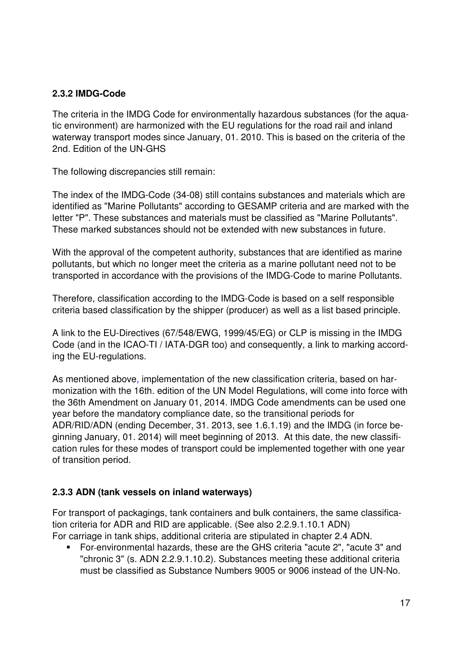#### **2.3.2 IMDG-Code**

The criteria in the IMDG Code for environmentally hazardous substances (for the aquatic environment) are harmonized with the EU regulations for the road rail and inland waterway transport modes since January, 01. 2010. This is based on the criteria of the 2nd. Edition of the UN-GHS

The following discrepancies still remain:

The index of the IMDG-Code (34-08) still contains substances and materials which are identified as "Marine Pollutants" according to GESAMP criteria and are marked with the letter "P". These substances and materials must be classified as "Marine Pollutants". These marked substances should not be extended with new substances in future.

With the approval of the competent authority, substances that are identified as marine pollutants, but which no longer meet the criteria as a marine pollutant need not to be transported in accordance with the provisions of the IMDG-Code to marine Pollutants.

Therefore, classification according to the IMDG-Code is based on a self responsible criteria based classification by the shipper (producer) as well as a list based principle.

A link to the EU-Directives (67/548/EWG, 1999/45/EG) or CLP is missing in the IMDG Code (and in the ICAO-TI / IATA-DGR too) and consequently, a link to marking according the EU-regulations.

As mentioned above, implementation of the new classification criteria, based on harmonization with the 16th. edition of the UN Model Regulations, will come into force with the 36th Amendment on January 01, 2014. IMDG Code amendments can be used one year before the mandatory compliance date, so the transitional periods for ADR/RID/ADN (ending December, 31. 2013, see 1.6.1.19) and the IMDG (in force beginning January, 01. 2014) will meet beginning of 2013. At this date, the new classification rules for these modes of transport could be implemented together with one year of transition period.

#### **2.3.3 ADN (tank vessels on inland waterways)**

For transport of packagings, tank containers and bulk containers, the same classification criteria for ADR and RID are applicable. (See also 2.2.9.1.10.1 ADN) For carriage in tank ships, additional criteria are stipulated in chapter 2.4 ADN.

- For environmental hazards, these are the GHS criteria "acute 2", "acute 3" and "chronic 3" (s. ADN 2.2.9.1.10.2). Substances meeting these additional criteria must be classified as Substance Numbers 9005 or 9006 instead of the UN-No.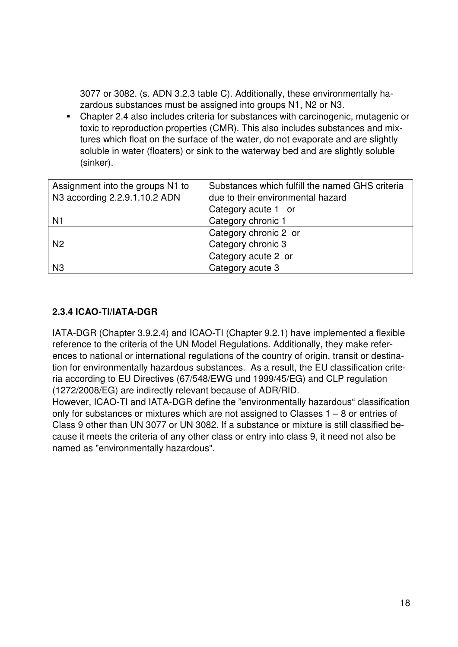3077 or 3082. (s. ADN 3.2.3 table C). Additionally, these environmentally hazardous substances must be assigned into groups N1, N2 or N3.

- Chapter 2.4 also includes criteria for substances with carcinogenic, mutagenic or toxic to reproduction properties (CMR). This also includes substances and mixtures which float on the surface of the water, do not evaporate and are slightly soluble in water (floaters) or sink to the waterway bed and are slightly soluble (sinker).

| Assignment into the groups N1 to | Substances which fulfill the named GHS criteria |
|----------------------------------|-------------------------------------------------|
| N3 according 2.2.9.1.10.2 ADN    | due to their environmental hazard               |
|                                  | Category acute 1 or                             |
| N <sub>1</sub>                   | Category chronic 1                              |
|                                  | Category chronic 2 or                           |
| N <sub>2</sub>                   | Category chronic 3                              |
|                                  | Category acute 2 or                             |
| N <sub>3</sub>                   | Category acute 3                                |

#### **2.3.4 ICAO-TI/IATA-DGR**

IATA-DGR (Chapter 3.9.2.4) and ICAO-TI (Chapter 9.2.1) have implemented a flexible reference to the criteria of the UN Model Regulations. Additionally, they make references to national or international regulations of the country of origin, transit or destination for environmentally hazardous substances. As a result, the EU classification criteria according to EU Directives (67/548/EWG und 1999/45/EG) and CLP regulation (1272/2008/EG) are indirectly relevant because of ADR/RID.

However, ICAO-TI and IATA-DGR define the "environmentally hazardous" classification only for substances or mixtures which are not assigned to Classes 1 – 8 or entries of Class 9 other than UN 3077 or UN 3082. If a substance or mixture is still classified because it meets the criteria of any other class or entry into class 9, it need not also be named as "environmentally hazardous".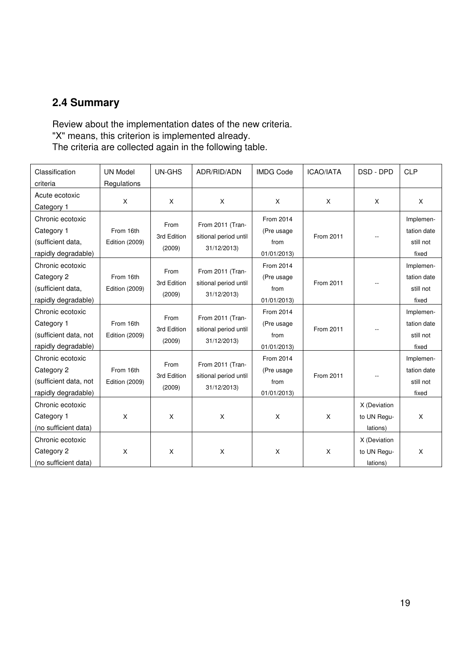## **2.4 Summary**

Review about the implementation dates of the new criteria. "X" means, this criterion is implemented already. The criteria are collected again in the following table.

| Classification        | <b>UN Model</b>       | UN-GHS      | ADR/RID/ADN           | <b>IMDG Code</b> | <b>ICAO/IATA</b> | DSD - DPD    | <b>CLP</b>  |
|-----------------------|-----------------------|-------------|-----------------------|------------------|------------------|--------------|-------------|
| criteria              | Regulations           |             |                       |                  |                  |              |             |
| Acute ecotoxic        | X                     | X           | X                     | $\mathsf{X}$     | $\mathsf{x}$     | X            | $\times$    |
| Category 1            |                       |             |                       |                  |                  |              |             |
| Chronic ecotoxic      |                       | From        | From 2011 (Tran-      | From 2014        |                  |              | Implemen-   |
| Category 1            | From 16th             | 3rd Edition | sitional period until | (Pre usage       | From 2011        |              | tation date |
| (sufficient data,     | Edition (2009)        |             |                       | from             |                  |              | still not   |
| rapidly degradable)   |                       | (2009)      | 31/12/2013)           | 01/01/2013       |                  |              | fixed       |
| Chronic ecotoxic      |                       | From        | From 2011 (Tran-      | From 2014        |                  |              | Implemen-   |
| Category 2            | From 16th             | 3rd Edition | sitional period until | (Pre usage       | From 2011        |              | tation date |
| (sufficient data,     | <b>Edition (2009)</b> |             |                       | from             |                  |              | still not   |
| rapidly degradable)   |                       | (2009)      | 31/12/2013)           | 01/01/2013)      |                  |              | fixed       |
| Chronic ecotoxic      |                       | From        | From 2011 (Tran-      | From 2014        |                  |              | Implemen-   |
| Category 1            | From 16th             | 3rd Edition |                       | (Pre usage)      | From 2011        |              | tation date |
| (sufficient data, not | <b>Edition (2009)</b> |             | sitional period until | from             |                  |              | still not   |
| rapidly degradable)   |                       | (2009)      | 31/12/2013)           | 01/01/2013)      |                  |              | fixed       |
| Chronic ecotoxic      |                       |             |                       | From 2014        |                  |              | Implemen-   |
| Category 2            | From 16th             | From        | From 2011 (Tran-      | (Pre usage       |                  |              | tation date |
| (sufficient data, not | <b>Edition (2009)</b> | 3rd Edition | sitional period until | from             | From 2011        |              | still not   |
| rapidly degradable)   |                       | (2009)      | 31/12/2013)           | 01/01/2013       |                  |              | fixed       |
| Chronic ecotoxic      |                       |             |                       |                  |                  | X (Deviation |             |
| Category 1            | X                     | X           | X                     | X                | X                | to UN Regu-  | $\times$    |
| (no sufficient data)  |                       |             |                       |                  |                  | lations)     |             |
| Chronic ecotoxic      |                       |             |                       |                  |                  | X (Deviation |             |
| Category 2            | X                     | X           | X                     | X                | X                | to UN Requ-  | X           |
| (no sufficient data)  |                       |             |                       |                  |                  | lations)     |             |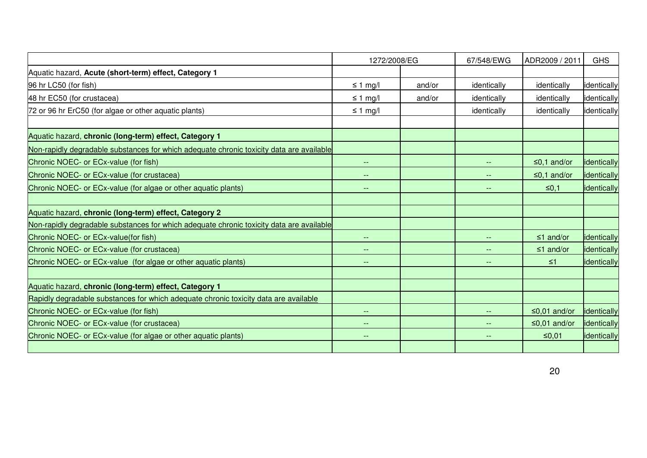|                                                                                          | 1272/2008/EG             |        | 67/548/EWG               | ADR2009 / 2011    | <b>GHS</b>  |
|------------------------------------------------------------------------------------------|--------------------------|--------|--------------------------|-------------------|-------------|
| Aquatic hazard, Acute (short-term) effect, Category 1                                    |                          |        |                          |                   |             |
| 96 hr LC50 (for fish)                                                                    | $\leq$ 1 mg/l            | and/or | identically              | identically       | identically |
| 48 hr EC50 (for crustacea)                                                               | $\leq$ 1 mg/l            | and/or | identically              | identically       | identically |
| 72 or 96 hr ErC50 (for algae or other aquatic plants)                                    | $\leq 1$ mg/l            |        | identically              | identically       | identically |
| Aquatic hazard, chronic (long-term) effect, Category 1                                   |                          |        |                          |                   |             |
| Non-rapidly degradable substances for which adequate chronic toxicity data are available |                          |        |                          |                   |             |
| Chronic NOEC- or ECx-value (for fish)                                                    | $\overline{\phantom{a}}$ |        | --                       | $\leq$ 0,1 and/or | identically |
| Chronic NOEC- or ECx-value (for crustacea)                                               | $\overline{\phantom{a}}$ |        | $-$                      | ≤0,1 and/or       | identically |
| Chronic NOEC- or ECx-value (for algae or other aquatic plants)                           | $\overline{\phantom{a}}$ |        | $-$                      | ≤0,1              | identically |
| Aquatic hazard, chronic (long-term) effect, Category 2                                   |                          |        |                          |                   |             |
| Non-rapidly degradable substances for which adequate chronic toxicity data are available |                          |        |                          |                   |             |
| Chronic NOEC- or ECx-value(for fish)                                                     |                          |        |                          | $\leq 1$ and/or   | identically |
| Chronic NOEC- or ECx-value (for crustacea)                                               |                          |        |                          | $\leq 1$ and/or   | identically |
| Chronic NOEC- or ECx-value (for algae or other aquatic plants)                           | $\qquad \qquad -$        |        |                          | $\leq 1$          | identically |
| Aquatic hazard, chronic (long-term) effect, Category 1                                   |                          |        |                          |                   |             |
| Rapidly degradable substances for which adequate chronic toxicity data are available     |                          |        |                          |                   |             |
| Chronic NOEC- or ECx-value (for fish)                                                    | $--$                     |        | $\overline{\phantom{a}}$ | ≤0,01 and/or      | identically |
| Chronic NOEC- or ECx-value (for crustacea)                                               | $- -$                    |        |                          | ≤0,01 and/or      | identically |
| Chronic NOEC- or ECx-value (for algae or other aquatic plants)                           | $\overline{\phantom{a}}$ |        |                          | $≤0,01$           | identically |
|                                                                                          |                          |        |                          |                   |             |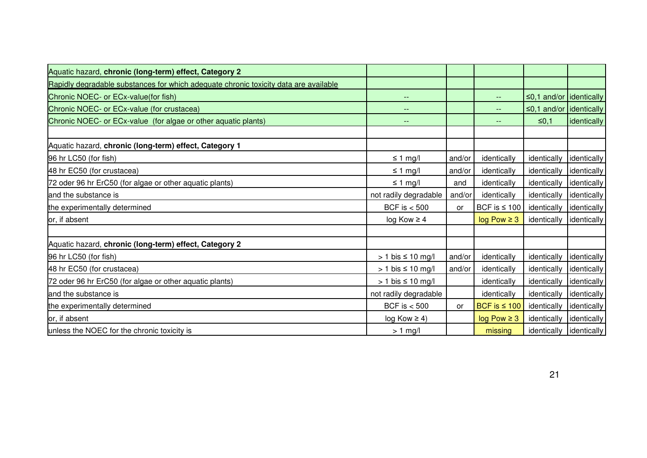| Aquatic hazard, chronic (long-term) effect, Category 2                               |                          |           |                          |                              |             |
|--------------------------------------------------------------------------------------|--------------------------|-----------|--------------------------|------------------------------|-------------|
| Rapidly degradable substances for which adequate chronic toxicity data are available |                          |           |                          |                              |             |
| Chronic NOEC- or ECx-value(for fish)                                                 | $\qquad \qquad -$        |           | $\frac{1}{2}$            | $\leq$ 0,1 and/or dentically |             |
| Chronic NOEC- or ECx-value (for crustacea)                                           | --                       |           | $\qquad \qquad -$        | $\leq$ 0,1 and/or dentically |             |
| Chronic NOEC- or ECx-value (for algae or other aquatic plants)                       | --                       |           | $\overline{\phantom{a}}$ | ≤0,1                         | identically |
|                                                                                      |                          |           |                          |                              |             |
| Aquatic hazard, chronic (long-term) effect, Category 1                               |                          |           |                          |                              |             |
| 96 hr LC50 (for fish)                                                                | $\leq 1$ mg/l            | and/or    | identically              | identically                  | identically |
| 48 hr EC50 (for crustacea)                                                           | $\leq$ 1 mg/l            | and/or    | identically              | identically                  | identically |
| 72 oder 96 hr ErC50 (for algae or other aquatic plants)                              | $\leq$ 1 mg/l            | and       | identically              | identically                  | identically |
| and the substance is                                                                 | not radily degradable    | and/or    | identically              | identically                  | identically |
| the experimentally determined                                                        | BCF is $< 500$           | <b>or</b> | BCF is $\leq 100$        | identically                  | identically |
| or, if absent                                                                        | $log Kow \ge 4$          |           | $log Pow \geq 3$         | identically                  | identically |
|                                                                                      |                          |           |                          |                              |             |
| Aquatic hazard, chronic (long-term) effect, Category 2                               |                          |           |                          |                              |             |
| 96 hr LC50 (for fish)                                                                | $> 1$ bis $\leq 10$ mg/l | and/or    | identically              | identically                  | identically |
| 48 hr EC50 (for crustacea)                                                           | $> 1$ bis $\leq 10$ mg/l | and/or    | identically              | identically                  | identically |
| 72 oder 96 hr ErC50 (for algae or other aquatic plants)                              | $> 1$ bis $\leq 10$ mg/l |           | identically              | identically                  | identically |
| and the substance is                                                                 | not radily degradable    |           | identically              | identically                  | identically |
| the experimentally determined                                                        | BCF is $< 500$           | <b>or</b> | BCF is $\leq 100$        | identically                  | identically |
| or, if absent                                                                        | $log Kow \ge 4$          |           | $log Pow \geq 3$         | identically                  | identically |
| unless the NOEC for the chronic toxicity is                                          | $> 1$ mg/l               |           | missing                  | identically dentically       |             |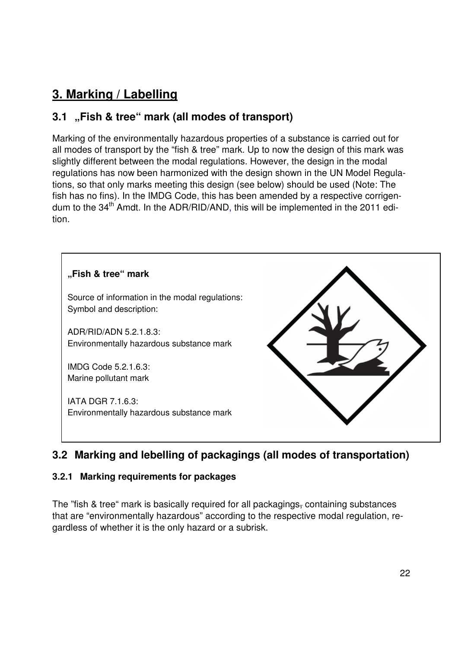# **3. Marking / Labelling**

# **3.1 "Fish & tree" mark (all modes of transport)**

Marking of the environmentally hazardous properties of a substance is carried out for all modes of transport by the "fish & tree" mark. Up to now the design of this mark was slightly different between the modal regulations. However, the design in the modal regulations has now been harmonized with the design shown in the UN Model Regulations, so that only marks meeting this design (see below) should be used (Note: The fish has no fins). In the IMDG Code, this has been amended by a respective corrigendum to the 34<sup>th</sup> Amdt. In the ADR/RID/AND, this will be implemented in the 2011 edition.



# **3.2 Marking and lebelling of packagings (all modes of transportation)**

#### **3.2.1 Marking requirements for packages**

The "fish & tree" mark is basically required for all packagings, containing substances that are "environmentally hazardous" according to the respective modal regulation, regardless of whether it is the only hazard or a subrisk.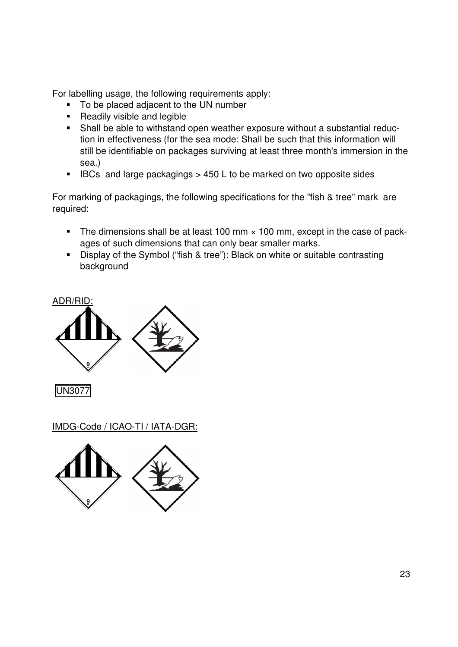For labelling usage, the following requirements apply:

- To be placed adjacent to the UN number
- **-** Readily visible and legible
- Shall be able to withstand open weather exposure without a substantial reduction in effectiveness (for the sea mode: Shall be such that this information will still be identifiable on packages surviving at least three month's immersion in the sea.)
- -IBCs and large packagings > 450 L to be marked on two opposite sides

For marking of packagings, the following specifications for the "fish & tree" mark are required:

- -The dimensions shall be at least 100 mm  $\times$  100 mm, except in the case of packages of such dimensions that can only bear smaller marks.
- Display of the Symbol ("fish & tree"): Black on white or suitable contrasting background



UN3077

IMDG-Code / ICAO-TI / IATA-DGR:

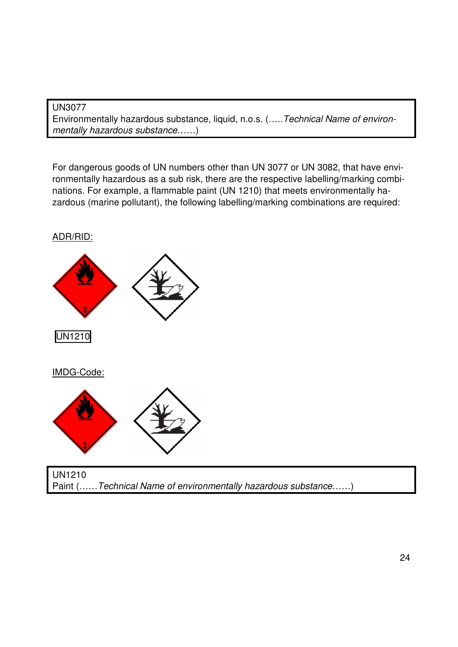#### UN3077

Environmentally hazardous substance, liquid, n.o.s. (…..Technical Name of environmentally hazardous substance......)

For dangerous goods of UN numbers other than UN 3077 or UN 3082, that have environmentally hazardous as a sub risk, there are the respective labelling/marking combinations. For example, a flammable paint (UN 1210) that meets environmentally hazardous (marine pollutant), the following labelling/marking combinations are required:



Paint (……Technical Name of environmentally hazardous substance……)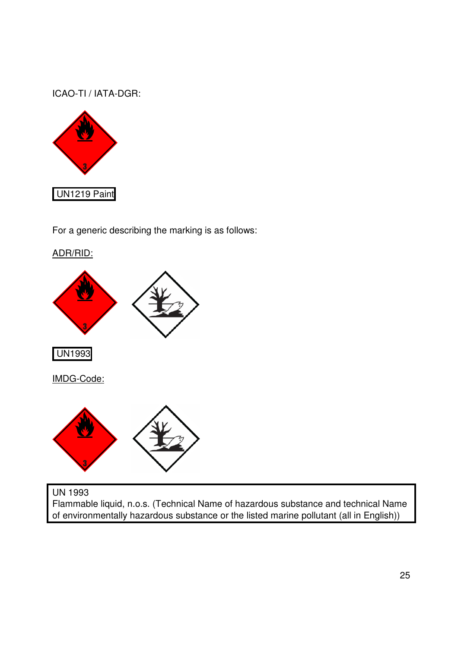ICAO-TI / IATA-DGR:



For a generic describing the marking is as follows:



Flammable liquid, n.o.s. (Technical Name of hazardous substance and technical Name of environmentally hazardous substance or the listed marine pollutant (all in English))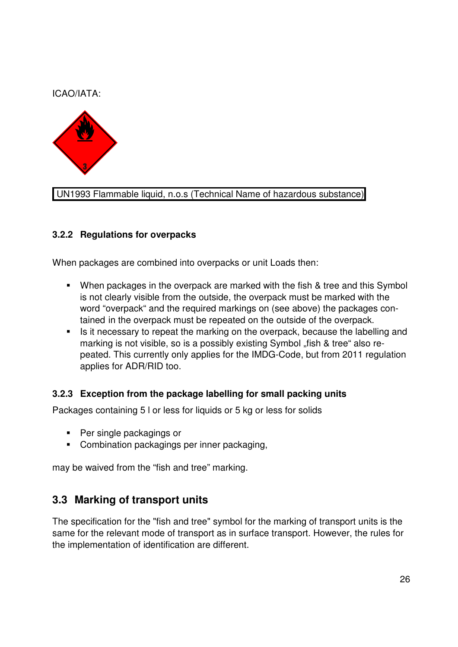#### ICAO/IATA:



#### UN1993 Flammable liquid, n.o.s (Technical Name of hazardous substance)

#### **3.2.2 Regulations for overpacks**

When packages are combined into overpacks or unit Loads then:

- When packages in the overpack are marked with the fish & tree and this Symbol is not clearly visible from the outside, the overpack must be marked with the word "overpack" and the required markings on (see above) the packages contained in the overpack must be repeated on the outside of the overpack.
- **EXT** Is it necessary to repeat the marking on the overpack, because the labelling and marking is not visible, so is a possibly existing Symbol "fish & tree" also repeated. This currently only applies for the IMDG-Code, but from 2011 regulation applies for ADR/RID too.

#### **3.2.3 Exception from the package labelling for small packing units**

Packages containing 5 l or less for liquids or 5 kg or less for solids

- **Per single packagings or**
- **Combination packagings per inner packaging,**

may be waived from the "fish and tree" marking.

### **3.3 Marking of transport units**

The specification for the "fish and tree" symbol for the marking of transport units is the same for the relevant mode of transport as in surface transport. However, the rules for the implementation of identification are different.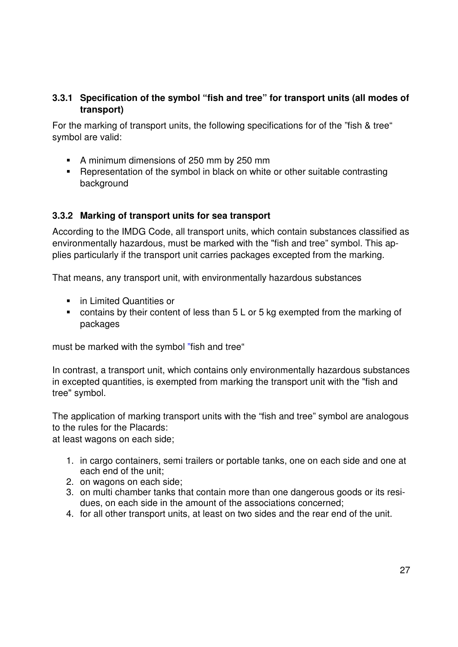#### **3.3.1 Specification of the symbol "fish and tree" for transport units (all modes of transport)**

For the marking of transport units, the following specifications for of the "fish & tree" symbol are valid:

- A minimum dimensions of 250 mm by 250 mm
- **-** Representation of the symbol in black on white or other suitable contrasting background

#### **3.3.2 Marking of transport units for sea transport**

According to the IMDG Code, all transport units, which contain substances classified as environmentally hazardous, must be marked with the "fish and tree" symbol. This applies particularly if the transport unit carries packages excepted from the marking.

That means, any transport unit, with environmentally hazardous substances

- **•** in Limited Quantities or
- contains by their content of less than 5 L or 5 kg exempted from the marking of packages

must be marked with the symbol "fish and tree"

In contrast, a transport unit, which contains only environmentally hazardous substances in excepted quantities, is exempted from marking the transport unit with the "fish and tree" symbol.

The application of marking transport units with the "fish and tree" symbol are analogous to the rules for the Placards:

at least wagons on each side;

- 1. in cargo containers, semi trailers or portable tanks, one on each side and one at each end of the unit;
- 2. on wagons on each side;
- 3. on multi chamber tanks that contain more than one dangerous goods or its residues, on each side in the amount of the associations concerned;
- 4. for all other transport units, at least on two sides and the rear end of the unit.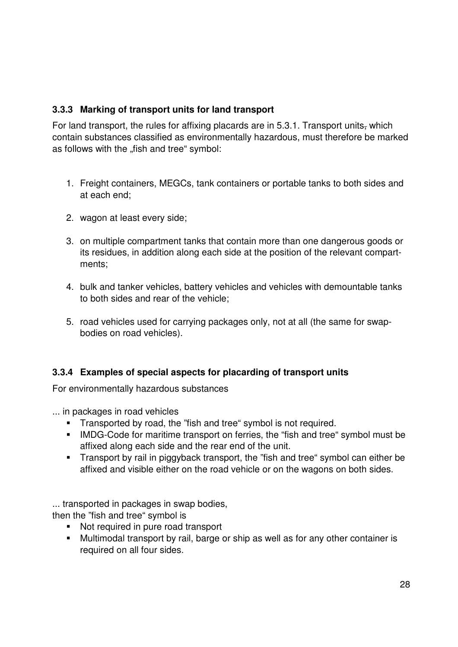#### **3.3.3 Marking of transport units for land transport**

For land transport, the rules for affixing placards are in 5.3.1. Transport units, which contain substances classified as environmentally hazardous, must therefore be marked as follows with the "fish and tree" symbol:

- 1. Freight containers, MEGCs, tank containers or portable tanks to both sides and at each end;
- 2. wagon at least every side;
- 3. on multiple compartment tanks that contain more than one dangerous goods or its residues, in addition along each side at the position of the relevant compartments;
- 4. bulk and tanker vehicles, battery vehicles and vehicles with demountable tanks to both sides and rear of the vehicle;
- 5. road vehicles used for carrying packages only, not at all (the same for swapbodies on road vehicles).

#### **3.3.4 Examples of special aspects for placarding of transport units**

For environmentally hazardous substances

... in packages in road vehicles

- Transported by road, the "fish and tree" symbol is not required.
- IMDG-Code for maritime transport on ferries, the "fish and tree" symbol must be affixed along each side and the rear end of the unit.
- Transport by rail in piggyback transport, the "fish and tree" symbol can either be affixed and visible either on the road vehicle or on the wagons on both sides.

... transported in packages in swap bodies,

then the "fish and tree" symbol is

- Not required in pure road transport
- Multimodal transport by rail, barge or ship as well as for any other container is required on all four sides.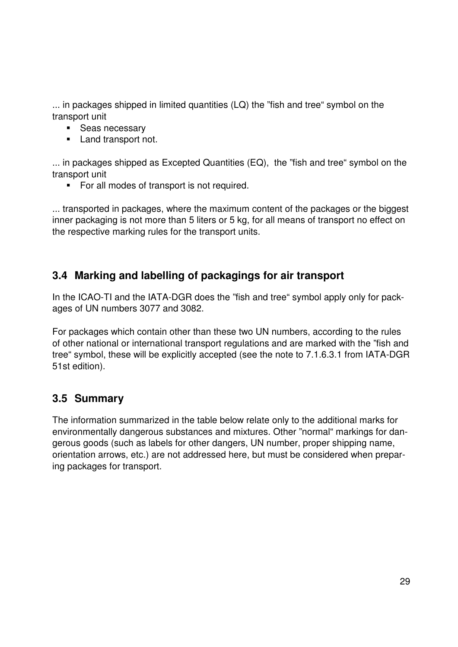... in packages shipped in limited quantities (LQ) the "fish and tree" symbol on the transport unit

- **Seas necessary**
- **Land transport not.**

... in packages shipped as Excepted Quantities (EQ), the "fish and tree" symbol on the transport unit

**For all modes of transport is not required.** 

... transported in packages, where the maximum content of the packages or the biggest inner packaging is not more than 5 liters or 5 kg, for all means of transport no effect on the respective marking rules for the transport units.

## **3.4 Marking and labelling of packagings for air transport**

In the ICAO-TI and the IATA-DGR does the "fish and tree" symbol apply only for packages of UN numbers 3077 and 3082.

For packages which contain other than these two UN numbers, according to the rules of other national or international transport regulations and are marked with the "fish and tree" symbol, these will be explicitly accepted (see the note to 7.1.6.3.1 from IATA-DGR 51st edition).

### **3.5 Summary**

The information summarized in the table below relate only to the additional marks for environmentally dangerous substances and mixtures. Other "normal" markings for dangerous goods (such as labels for other dangers, UN number, proper shipping name, orientation arrows, etc.) are not addressed here, but must be considered when preparing packages for transport.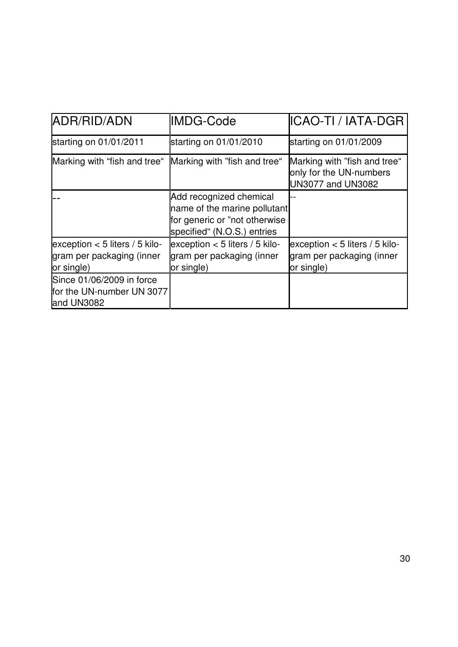| ADR/RID/ADN                                                                 | IMDG-Code                                                                                                                | ICAO-TI / IATA-DGR                                                                  |
|-----------------------------------------------------------------------------|--------------------------------------------------------------------------------------------------------------------------|-------------------------------------------------------------------------------------|
| starting on 01/01/2011                                                      | starting on 01/01/2010                                                                                                   | starting on 01/01/2009                                                              |
| Marking with "fish and tree"                                                | Marking with "fish and tree"                                                                                             | Marking with "fish and tree"<br>only for the UN-numbers<br><b>UN3077 and UN3082</b> |
|                                                                             | Add recognized chemical<br>name of the marine pollutant<br>for generic or "not otherwise"<br>specified" (N.O.S.) entries |                                                                                     |
| exception $<$ 5 liters / 5 kilo-<br>gram per packaging (inner<br>or single) | exception $<$ 5 liters / 5 kilo-<br>gram per packaging (inner<br>or single)                                              | exception $<$ 5 liters / 5 kilo-<br>gram per packaging (inner<br>or single)         |
| Since 01/06/2009 in force<br>for the UN-number UN 3077<br>and UN3082        |                                                                                                                          |                                                                                     |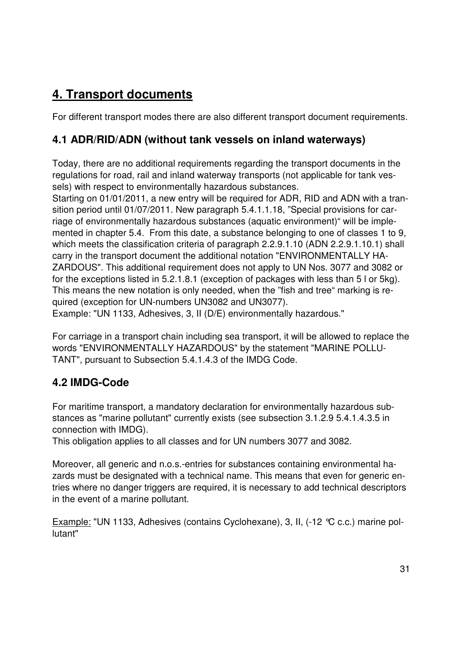# **4. Transport documents**

For different transport modes there are also different transport document requirements.

## **4.1 ADR/RID/ADN (without tank vessels on inland waterways)**

Today, there are no additional requirements regarding the transport documents in the regulations for road, rail and inland waterway transports (not applicable for tank vessels) with respect to environmentally hazardous substances.

Starting on 01/01/2011, a new entry will be required for ADR, RID and ADN with a transition period until 01/07/2011. New paragraph 5.4.1.1.18, "Special provisions for carriage of environmentally hazardous substances (aquatic environment)" will be implemented in chapter 5.4. From this date, a substance belonging to one of classes 1 to 9, which meets the classification criteria of paragraph 2.2.9.1.10 (ADN 2.2.9.1.10.1) shall carry in the transport document the additional notation "ENVIRONMENTALLY HA-ZARDOUS". This additional requirement does not apply to UN Nos. 3077 and 3082 or for the exceptions listed in 5.2.1.8.1 (exception of packages with less than 5 l or 5kg). This means the new notation is only needed, when the "fish and tree" marking is required (exception for UN-numbers UN3082 and UN3077).

Example: "UN 1133, Adhesives, 3, II (D/E) environmentally hazardous."

For carriage in a transport chain including sea transport, it will be allowed to replace the words "ENVIRONMENTALLY HAZARDOUS" by the statement "MARINE POLLU-TANT", pursuant to Subsection 5.4.1.4.3 of the IMDG Code.

## **4.2 IMDG-Code**

For maritime transport, a mandatory declaration for environmentally hazardous substances as "marine pollutant" currently exists (see subsection 3.1.2.9 5.4.1.4.3.5 in connection with IMDG).

This obligation applies to all classes and for UN numbers 3077 and 3082.

Moreover, all generic and n.o.s.-entries for substances containing environmental hazards must be designated with a technical name. This means that even for generic entries where no danger triggers are required, it is necessary to add technical descriptors in the event of a marine pollutant.

Example: "UN 1133, Adhesives (contains Cyclohexane), 3, II, (-12 °C c.c.) marine pollutant"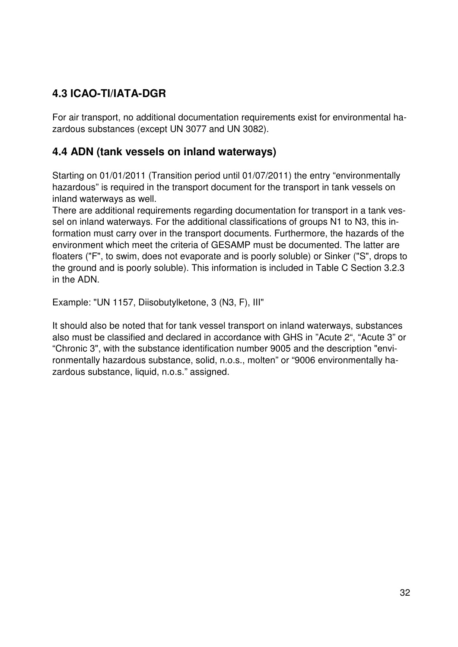# **4.3 ICAO-TI/IATA-DGR**

For air transport, no additional documentation requirements exist for environmental hazardous substances (except UN 3077 and UN 3082).

## **4.4 ADN (tank vessels on inland waterways)**

Starting on 01/01/2011 (Transition period until 01/07/2011) the entry "environmentally hazardous" is required in the transport document for the transport in tank vessels on inland waterways as well.

There are additional requirements regarding documentation for transport in a tank vessel on inland waterways. For the additional classifications of groups N1 to N3, this information must carry over in the transport documents. Furthermore, the hazards of the environment which meet the criteria of GESAMP must be documented. The latter are floaters ("F", to swim, does not evaporate and is poorly soluble) or Sinker ("S", drops to the ground and is poorly soluble). This information is included in Table C Section 3.2.3 in the ADN.

Example: "UN 1157, Diisobutylketone, 3 (N3, F), III"

It should also be noted that for tank vessel transport on inland waterways, substances also must be classified and declared in accordance with GHS in "Acute 2", "Acute 3" or "Chronic 3", with the substance identification number 9005 and the description "environmentally hazardous substance, solid, n.o.s., molten" or "9006 environmentally hazardous substance, liquid, n.o.s." assigned.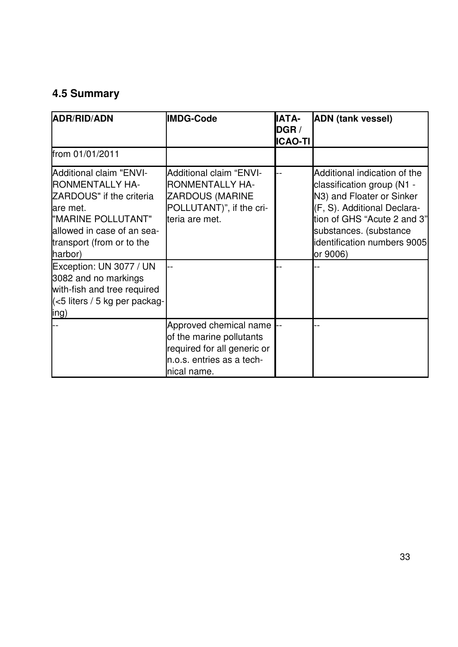# **4.5 Summary**

| ADR/RID/ADN                                                                                                                                                                                  | <b>IMDG-Code</b>                                                                                                                 | <b>IATA-</b><br>DGR /<br><b>ICAO-TI</b> | <b>ADN</b> (tank vessel)                                                                                                                                                                                                   |
|----------------------------------------------------------------------------------------------------------------------------------------------------------------------------------------------|----------------------------------------------------------------------------------------------------------------------------------|-----------------------------------------|----------------------------------------------------------------------------------------------------------------------------------------------------------------------------------------------------------------------------|
| from 01/01/2011                                                                                                                                                                              |                                                                                                                                  |                                         |                                                                                                                                                                                                                            |
| <b>Additional claim "ENVI-</b><br><b>RONMENTALLY HA-</b><br>ZARDOUS" if the criteria<br>are met.<br>"MARINE POLLUTANT"<br>allowed in case of an sea-<br>transport (from or to the<br>harbor) | <b>Additional claim "ENVI-</b><br><b>RONMENTALLY HA-</b><br><b>ZARDOUS (MARINE</b><br>POLLUTANT)", if the cri-<br>teria are met. |                                         | Additional indication of the<br>classification group (N1 -<br>N3) and Floater or Sinker<br>(F, S). Additional Declara-<br>tion of GHS "Acute 2 and 3"<br>substances. (substance<br>identification numbers 9005<br>or 9006) |
| Exception: UN 3077 / UN<br>3082 and no markings<br>with-fish and tree required<br>$\le$ 5 liters / 5 kg per packag-<br>ling)                                                                 |                                                                                                                                  |                                         |                                                                                                                                                                                                                            |
|                                                                                                                                                                                              | Approved chemical name<br>of the marine pollutants<br>required for all generic or<br>n.o.s. entries as a tech-<br>nical name.    |                                         |                                                                                                                                                                                                                            |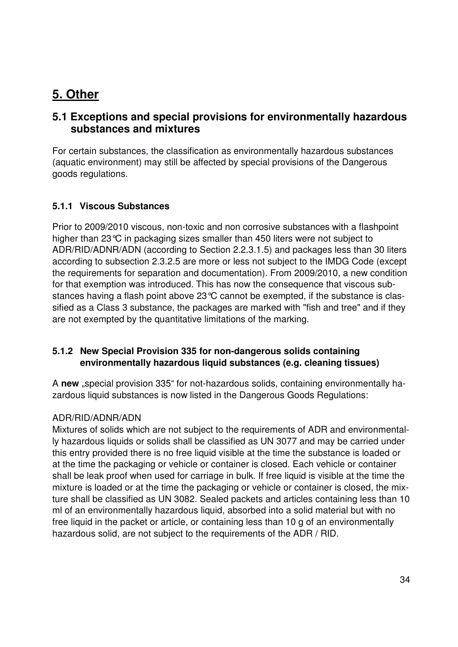# **5. Other**

## **5.1 Exceptions and special provisions for environmentally hazardous substances and mixtures**

For certain substances, the classification as environmentally hazardous substances (aquatic environment) may still be affected by special provisions of the Dangerous goods regulations.

#### **5.1.1 Viscous Substances**

Prior to 2009/2010 viscous, non-toxic and non corrosive substances with a flashpoint higher than 23°C in packaging sizes smaller than 450 liters were not subject to ADR/RID/ADNR/ADN (according to Section 2.2.3.1.5) and packages less than 30 liters according to subsection 2.3.2.5 are more or less not subject to the IMDG Code (except the requirements for separation and documentation). From 2009/2010, a new condition for that exemption was introduced. This has now the consequence that viscous substances having a flash point above 23°C cannot be exempted, if the substance is classified as a Class 3 substance, the packages are marked with "fish and tree" and if they are not exempted by the quantitative limitations of the marking.

#### **5.1.2 New Special Provision 335 for non-dangerous solids containing environmentally hazardous liquid substances (e.g. cleaning tissues)**

A **new** "special provision 335" for not-hazardous solids, containing environmentally hazardous liquid substances is now listed in the Dangerous Goods Regulations:

#### ADR/RID/ADNR/ADN

Mixtures of solids which are not subject to the requirements of ADR and environmentally hazardous liquids or solids shall be classified as UN 3077 and may be carried under this entry provided there is no free liquid visible at the time the substance is loaded or at the time the packaging or vehicle or container is closed. Each vehicle or container shall be leak proof when used for carriage in bulk. If free liquid is visible at the time the mixture is loaded or at the time the packaging or vehicle or container is closed, the mixture shall be classified as UN 3082. Sealed packets and articles containing less than 10 ml of an environmentally hazardous liquid, absorbed into a solid material but with no free liquid in the packet or article, or containing less than 10 g of an environmentally hazardous solid, are not subject to the requirements of the ADR / RID.